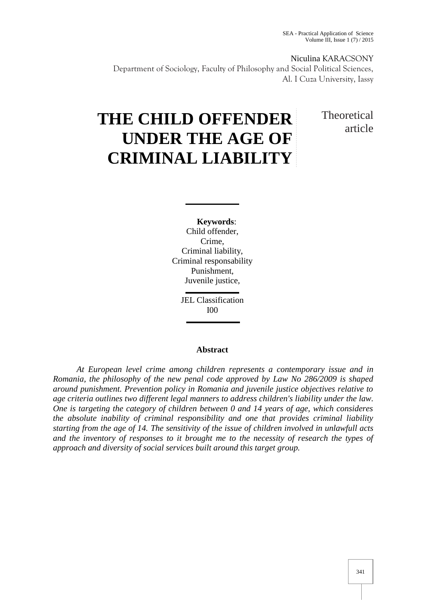Niculina KARACSONY Department of Sociology, Faculty of Philosophy and Social Political Sciences, Al. I Cuza University, Iassy

# **THE CHILD OFFENDER UNDER THE AGE OF CRIMINAL LIABILITY**

## **Theoretical** article

**Keywords**: Child offender, Crime, Criminal liability, Criminal responsability Punishment, Juvenile justice,

> JEL Classification I00

#### **Abstract**

*At European level crime among children represents a contemporary issue and in Romania, the philosophy of the new penal code approved by Law No 286/2009 is shaped around punishment. Prevention policy in Romania and juvenile justice objectives relative to age criteria outlines two different legal manners to address children's liability under the law. One is targeting the category of children between 0 and 14 years of age, which consideres the absolute inability of criminal responsibility and one that provides criminal liability starting from the age of 14. The sensitivity of the issue of children involved in unlawfull acts and the inventory of responses to it brought me to the necessity of research the types of approach and diversity of social services built around this target group.*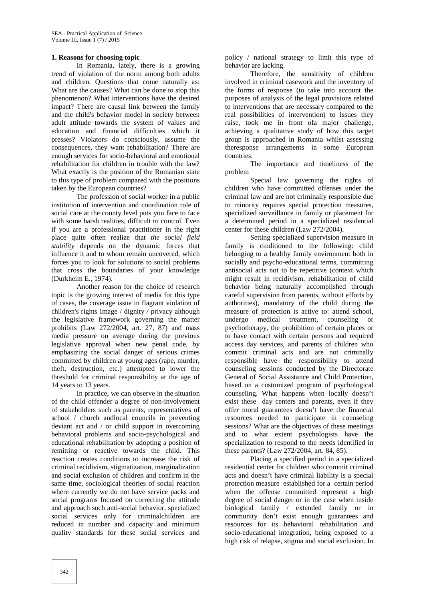#### **1. Reasons for choosing topic**

In Romania, lately, there is a growing trend of violation of the norm among both adults and children. Questions that come naturally as: What are the causes? What can be done to stop this phenomenon? What interventions have the desired impact? There are causal link between the family and the child's behavior model in society between adult attitude towards the system of values and education and financial difficulties which it presses? Violators do consciously, assume the consequences, they want rehabilitation? There are enough services for socio-behavioral and emotional rehabilitation for children in trouble with the law? What exactly is the position of the Romanian state to this type of problem compared with the positions taken by the European countries?

The profession of social worker in a public institution of intervention and coordination role of social care at the county level puts you face to face with some harsh realities, difficult to control. Even if you are a professional practitioner in the right place quite often realize that *the social field stability* depends on the dynamic forces that influence it and to whom remain uncovered, which forces you to look for solutions to social problems that cross the boundaries of your knowledge (Durkheim E., 1974).

Another reason for the choice of research topic is the growing interest of media for this type of cases, the coverage issue in flagrant violation of children's rights Image / dignity / privacy although the legislative framework governing the matter prohibits (Law 272/2004, art. 27, 87) and mass media pressure on average during the previous legislative approval when new penal code, by emphasizing the social danger of serious crimes committed by children at young ages (rape, murder, theft, destruction, etc.) attempted to lower the threshold for criminal responsibility at the age of 14 years to 13 years.

In practice, we can observe in the situation of the child offender a degree of non-involvement of stakeholders such as parents, representatives of school / church andlocal councils in preventing deviant act and / or child support in overcoming behavioral problems and socio-psychological and educational rehabilitation by adopting a position of remitting or reactive towards the child. This reaction creates conditions to increase the risk of criminal recidivism, stigmatization, marginalization and social exclusion of children and confirm in the same time, sociological theories of social reaction where currently we do not have service packs and social programs focused on correcting the attitude and approach such anti-social behavior, specialized social services only for criminalchildren are reduced in number and capacity and minimum quality standards for these social services and

policy / national strategy to limit this type of behavior are lacking.

Therefore, the sensitivity of children involved in criminal casework and the inventory of the forms of response (to take into account the purposes of analysis of the legal provisions related to interventions that are necessary compared to the real possibilities of intervention) to issues they raise, took me in front ofa major challenge, achieving a qualitative study of how this target group is approached in Romania whilst assessing theresponse arrangements in some European countries.

The importance and timeliness of the problem

Special law governing the rights of children who have committed offenses under the criminal law and are not criminally responsible due to minority requires special protection measures, specialized surveillance in family or placement for a determined period in a specialized residential center for these children (Law 272/2004).

Setting specialized supervision measure in family is cinditioned to the following: child belonging to a healthy family environment both in socially and psycho-educational terms, committing antisocial acts not to be repetitive (context which might result in recidivism, rehabilitation of child behavior being naturally accomplished through careful supervision from parents, without efforts by authorities), mandatory of the child during the measure of protection is active to: attend school, undergo medical treatment, counseling or psychotherapy, the prohibition of certain places or to have contact with certain persons and required access day services, and parents of children who commit criminal acts and are not criminally responsible have the responsibility to attend counseling sessions conducted by the Directorate General of Social Assistance and Child Protection, based on a customized program of psychological counseling. What happens when locally doesn't exist these day centers and parents, even if they offer moral guarantees doesn't have the financial resources needed to participate in counseling sessions? What are the objectives of these meetings and to what extent psychologists have the specialization to respond to the needs identified in these parents? (Law 272/2004, art. 84, 85).

Placing a specified period in a specialized residential center for children who commit criminal acts and doesn't have criminal liability is a special protection measure established for a certain period when the offense committed represent a high degree of social danger or in the case when inside biological family / extended family or in community don't exist enough guarantees and resources for its behavioral rehabilitation and socio-educational integration, being exposed to a high risk of relapse, stigma and social exclusion. In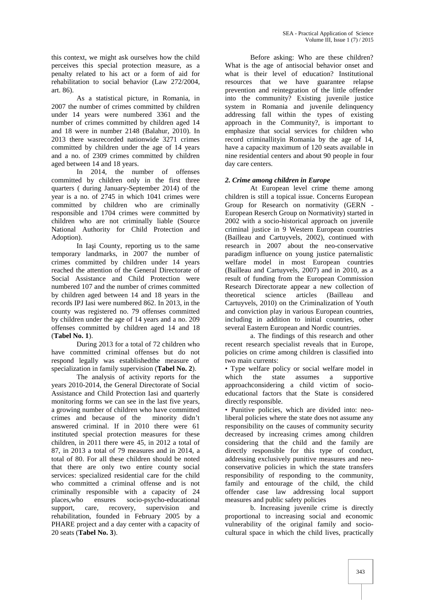this context, we might ask ourselves how the child perceives this special protection measure, as a penalty related to his act or a form of aid for rehabilitation to social behavior (Law 272/2004, art. 86).

As a statistical picture, in Romania, in 2007 the number of crimes committed by children under 14 years were numbered 3361 and the number of crimes committed by children aged 14 and 18 were in number 2148 (Balahur, 2010). In 2013 there wasrecorded nationwide 3271 crimes committed by children under the age of 14 years and a no. of 2309 crimes committed by children aged between 14 and 18 years.

In 2014, the number of offenses committed by children only in the first three quarters ( during January-September 2014) of the year is a no. of 2745 in which 1041 crimes were committed by children who are criminally responsible and 1704 crimes were committed by children who are not criminally liable (Source National Authority for Child Protection and Adoption).

In Ia i County, reporting us to the same temporary landmarks, in 2007 the number of crimes committed by children under 14 years reached the attention of the General Directorate of Social Assistance and Child Protection were numbered 107 and the number of crimes committed by children aged between 14 and 18 years in the records IPJ Iasi were numbered 862. In 2013, in the county was registered no. 79 offenses committed by children under the age of 14 years and a no. 209 offenses committed by children aged 14 and 18 (**Tabel No. 1**).

During 2013 for a total of 72 children who have committed criminal offenses but do not respond legally was establishedthe measure of specialization in family supervision (**Tabel No. 2**).

The analysis of activity reports for the years 2010-2014, the General Directorate of Social Assistance and Child Protection Iasi and quarterly monitoring forms we can see in the last five years, a growing number of children who have committed crimes and because of the minority didn't answered criminal. If in 2010 there were 61 instituted special protection measures for these children, in 2011 there were 45, in 2012 a total of 87, in 2013 a total of 79 measures and in 2014, a total of 80. For all these children should be noted that there are only two entire county social services: specialized residential care for the child who committed a criminal offense and is not criminally responsible with a capacity of 24 places,who ensures socio-psycho-educational support, care, recovery, supervision and rehabilitation, founded in February 2005 by a PHARE project and a day center with a capacity of 20 seats (**Tabel No. 3**).

Before asking: Who are these children? What is the age of antisocial behavior onset and what is their level of education? Institutional resources that we have guarantee relapse prevention and reintegration of the little offender into the community? Existing juvenile justice system in Romania and juvenile delinquency addressing fall within the types of existing approach in the Community?, is important to emphasize that social services for children who record criminallityin Romania by the age of 14, have a capacity maximum of 120 seats available in nine residential centers and about 90 people in four day care centers.

#### *2. Crime among children in Europe*

At European level crime theme among children is still a topical issue. Concerns European Group for Research on normativity (GERN - European Reserch Group on Normativity) started in 2002 with a socio-historical approach on juvenile criminal justice in 9 Western European countries (Bailleau and Cartuyvels, 2002), continued with research in 2007 about the neo-conservative paradigm influence on young justice paternalistic welfare model in most European countries (Bailleau and Cartuyvels, 2007) and in 2010, as a result of funding from the European Commission Research Directorate appear a new collection of theoretical science articles (Bailleau and Cartuyvels, 2010) on the Criminalization of Youth and conviction play in various European countries, including in addition to initial countries, other several Eastern European and Nordic countries.

a. The findings of this research and other recent research specialist reveals that in Europe, policies on crime among children is classified into two main currents:

• Type welfare policy or social welfare model in which the state assumes a supportive approachconsidering a child victim of socio educational factors that the State is considered directly responsible.

• Punitive policies, which are divided into: neoliberal policies where the state does not assume any responsibility on the causes of community security decreased by increasing crimes among children considering that the child and the family are directly responsible for this type of conduct, addressing exclusively punitive measures and neo conservative policies in which the state transfers responsibility of responding to the community, family and entourage of the child, the child offender case law addressing local support measures and public safety policies

b. Increasing juvenile crime is directly proportional to increasing social and economic vulnerability of the original family and socio cultural space in which the child lives, practically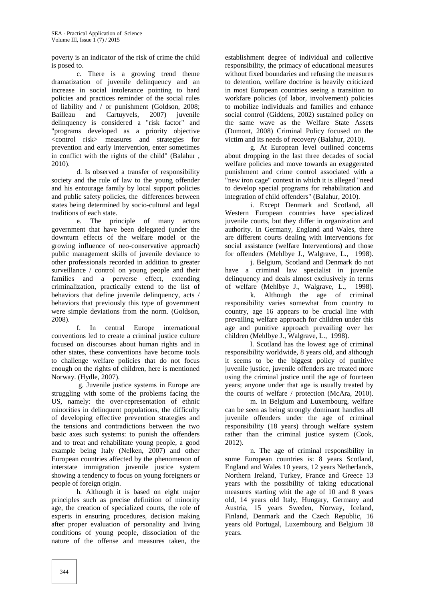poverty is an indicator of the risk of crime the child is posed to.

c. There is a growing trend theme dramatization of juvenile delinquency and an increase in social intolerance pointing to hard policies and practices reminder of the social rules of liability and / or punishment (Goldson, 2008; Bailleau and Cartuyvels, 2007) juvenile delinquency is considered a "risk factor" and "programs developed as a priority objective <control risk> measures and strategies for prevention and early intervention, enter sometimes in conflict with the rights of the child" (Balahur , 2010).

d. Is observed a transfer of responsibility society and the rule of law to the young offender and his entourage family by local support policies and public safety policies, the differences between states being determined by socio-cultural and legal traditions of each state.

e. The principle of many actors government that have been delegated (under the downturn effects of the welfare model or the growing influence of neo-conservative approach) public management skills of juvenile deviance to other professionals recorded in addition to greater surveillance / control on young people and their families and a perverse effect, extending criminalization, practically extend to the list of behaviors that define juvenile delinquency, acts / behaviors that previously this type of government were simple deviations from the norm. (Goldson, 2008).

f. In central Europe international conventions led to create a criminal justice culture focused on discourses about human rights and in other states, these conventions have become tools to challenge welfare policies that do not focus enough on the rights of children, here is mentioned Norway. (Hydle, 2007).

g. Juvenile justice systems in Europe are struggling with some of the problems facing the US, namely: the over-representation of ethnic minorities in delinquent populations, the difficulty of developing effective prevention strategies and the tensions and contradictions between the two basic axes such systems: to punish the offenders and to treat and rehabilitate young people, a good example being Italy (Nelken, 2007) and other European countries affected by the phenomenon of interstate immigration juvenile justice system showing a tendency to focus on young foreigners or people of foreign origin.

h. Although it is based on eight major principles such as precise definition of minority age, the creation of specialized courts, the role of experts in ensuring procedures, decision making after proper evaluation of personality and living conditions of young people, dissociation of the nature of the offense and measures taken, the

establishment degree of individual and collective responsibility, the primacy of educational measures without fixed boundaries and refusing the measures to detention, welfare doctrine is heavily criticized in most European countries seeing a transition to workfare policies (of labor, involvement) policies to mobilize individuals and families and enhance social control (Giddens, 2002) sustained policy on the same wave as the Welfare State Assets (Dumont, 2008) Criminal Policy focused on the victim and its needs of recovery (Balahur, 2010).

g. At European level outlined concerns about dropping in the last three decades of social welfare policies and move towards an exaggerated punishment and crime control associated with a "new iron cage" context in which it is alleged "need to develop special programs for rehabilitation and integration of child offenders" (Balahur, 2010).

i. Except Denmark and Scotland, all Western European countries have specialized juvenile courts, but they differ in organization and authority. In Germany, England and Wales, there are different courts dealing with interventions for social assistance (welfare Interventions) and those for offenders (Mehlbye J., Walgrave, L., 1998).

j. Belgium, Scotland and Denmark do not have a criminal law specialist in juvenile delinquency and deals almost exclusively in terms of welfare (Mehlbye J., Walgrave, L., 1998).

k. Although the age of criminal responsibility varies somewhat from country to country, age 16 appears to be crucial line with prevailing welfare approach for children under this age and punitive approach prevailing over her children (Mehlbye J., Walgrave, L., 1998).

l. Scotland has the lowest age of criminal responsibility worldwide, 8 years old, and although it seems to be the biggest policy of punitive juvenile justice, juvenile offenders are treated more using the criminal justice until the age of fourteen years; anyone under that age is usually treated by the courts of welfare / protection (McAra, 2010).

m. In Belgium and Luxembourg, welfare can be seen as being strongly dominant handles all juvenile offenders under the age of criminal responsibility (18 years) through welfare system rather than the criminal justice system (Cook, 2012).

n. The age of criminal responsibility in some European countries is: 8 years Scotland, England and Wales 10 years, 12 years Netherlands, Northern Ireland, Turkey, France and Greece 13 years with the possibility of taking educational measures starting whit the age of 10 and 8 years old, 14 years old Italy, Hungary, Germany and Austria, 15 years Sweden, Norway, Iceland, Finland, Denmark and the Czech Republic, 16 years old Portugal, Luxembourg and Belgium 18 years.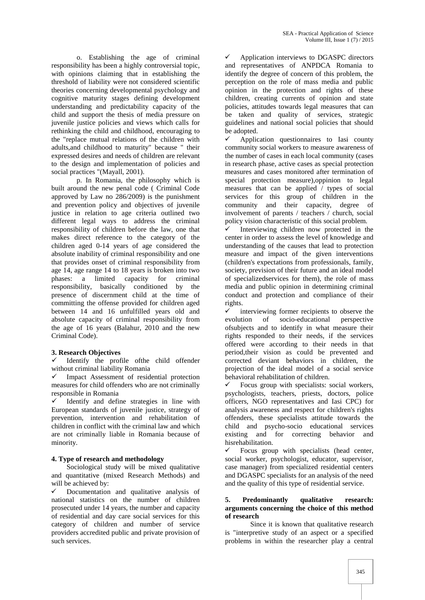o. Establishing the age of criminal responsibility has been a highly controversial topic, with opinions claiming that in establishing the threshold of liability were not considered scientific theories concerning developmental psychology and cognitive maturity stages defining development understanding and predictability capacity of the child and support the thesis of media pressure on juvenile justice policies and views which calls for rethinking the child and childhood, encouraging to the "replace mutual relations of the children with  $\checkmark$ adults,and childhood to maturity" because " their expressed desires and needs of children are relevant to the design and implementation of policies and social practices "(Mayall, 2001).

p. In Romania, the philosophy which is built around the new penal code ( Criminal Code approved by Law no 286/2009) is the punishment and prevention policy and objectives of juvenile justice in relation to age criteria outlined two different legal ways to address the criminal responsibility of children before the law, one that makes direct reference to the category of the children aged 0-14 years of age considered the absolute inability of criminal responsibility and one that provides onset of criminal responsibility from age 14, age range 14 to 18 years is broken into two phases: a limited capacity for criminal responsibility, basically conditioned by the presence of discernment child at the time of committing the offense provided for children aged between 14 and 16 unfulfilled years old and absolute capacity of criminal responsibility from the age of 16 years (Balahur, 2010 and the new Criminal Code).

#### **3. Research Objectives**

 $\checkmark$  Identify the profile ofthe child offender without criminal liability Romania

 $\checkmark$  Impact Assessment of residential protection measures for child offenders who are not criminally responsible in Romania

 $\checkmark$  Identify and define strategies in line with European standards of juvenile justice, strategy of prevention, intervention and rehabilitation of children in conflict with the criminal law and which are not criminally liable in Romania because of minority.

#### **4. Type of research and methodology**

Sociological study will be mixed qualitative and quantitative (mixed Research Methods) and will be achieved by:

 $\checkmark$  Documentation and qualitative analysis of national statistics on the number of children 5. prosecuted under 14 years, the number and capacity of residential and day care social services for this category of children and number of service providers accredited public and private provision of such services.

 $\checkmark$  Application interviews to DGASPC directors and representatives of ANPDCA Romania to identify the degree of concern of this problem, the perception on the role of mass media and public opinion in the protection and rights of these children, creating currents of opinion and state policies, attitudes towards legal measures that can be taken and quality of services, strategic guidelines and national social policies that should be adopted.

 Application questionnaires to Iasi county community social workers to measure awareness of the number of cases in each local community (cases in research phase, active cases as special protection measures and cases monitored after termination of special protection measure),oppinion to legal measures that can be applied / types of social services for this group of children in the community and their capacity, degree of involvement of parents / teachers / church, social policy vision characteristic of this social problem.

 Interviewing children now protected in the center in order to assess the level of knowledge and understanding of the causes that lead to protection measure and impact of the given interventions (children's expectations from professionals, family, society, prevision of their future and an ideal model of specializedservices for them), the role of mass media and public opinion in determining criminal conduct and protection and compliance of their rights.

 interviewing former recipients to observe the evolution of socio-educational perspective ofsubjects and to identify in what measure their rights responded to their needs, if the services offered were according to their needs in that period,their vision as could be prevented and corrected deviant behaviors in children, the projection of the ideal model of a social service behavioral rehabilitation of children.

 Focus group with specialists: social workers, psychologists, teachers, priests, doctors, police officers, NGO representatives and Iasi CPC) for analysis awareness and respect for children's rights offenders, these specialists attitude towards the child and psycho-socio educational services existing and for correcting behavior and hisrehabilitation.

 $\checkmark$  Focus group with specialists (head center, social worker, psychologist, educator, supervisor, case manager) from specialized residential centers and DGASPC specialists for an analysis of the need and the quality of this type of residential service.

#### **5. Predominantly qualitative research: arguments concerning the choice of this method of research**

Since it is known that qualitative research is "interpretive study of an aspect or a specified problems in within the researcher play a central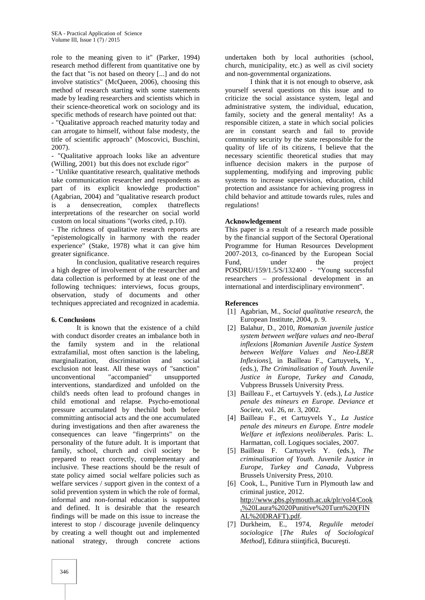role to the meaning given to it" (Parker, 1994) research method different from quantitative one by the fact that "is not based on theory [...] and do not involve statistics" (McQueen, 2006), choosing this method of research starting with some statements made by leading researchers and scientists which in their science-theoretical work on sociology and its specific methods of research have pointed out that:

- "Qualitative approach reached maturity today and can arrogate to himself, without false modesty, the title of scientific approach" (Moscovici, Buschini, 2007).

- "Qualitative approach looks like an adventure (Willing, 2001) but this does not exclude rigor"

- "Unlike quantitative research, qualitative methods take communication researcher and respondents as part of its explicit knowledge production" (Agabrian, 2004) and "qualitative research product<br>is a densecreation, complex that<br>reflects is a densecreation, complex thatreflects interpretations of the researcher on social world custom on local situations "(works cited, p.10).

- The richness of qualitative research reports are "epistemologically in harmony with the reader experience" (Stake, 1978) what it can give him greater significance.

In conclusion, qualitative research requires a high degree of involvement of the researcher and data collection is performed by at least one of the following techniques: interviews, focus groups, observation, study of documents and other techniques appreciated and recognized in academia.

#### **6. Conclusions**

It is known that the existence of a child with conduct disorder creates an imbalance both in the family system and in the relational extrafamilial, most often sanction is the labeling, marginalization, discrimination and social exclusion not least. All these ways of "sanction" unconventional "accompanied" unsupported interventions, standardized and unfolded on the child's needs often lead to profound changes in child emotional and relapse. Psycho-emotional pressure accumulated by thechild both before committing antisocial acts and the one accumulated during investigations and then after awareness the consequences can leave "fingerprints" on the personality of the future adult. It is important that family, school, church and civil society be prepared to react correctly, complementary and inclusive. These reactions should be the result of state policy aimed social welfare policies such as welfare services / support given in the context of a solid prevention system in which the role of formal, informal and non-formal education is supported and defined. It is desirable that the research findings will be made on this issue to increase the interest to stop / discourage juvenile delinquency by creating a well thought out and implemented national strategy, through concrete actions

undertaken both by local authorities (school, church, municipality, etc.) as well as civil society and non-governmental organizations.

I think that it is not enough to observe, ask yourself several questions on this issue and to criticize the social assistance system, legal and administrative system, the individual, education, family, society and the general mentality! As a responsible citizen, a state in which social policies are in constant search and fail to provide community security by the state responsible for the quality of life of its citizens, I believe that the necessary scientific theoretical studies that may influence decision makers in the purpose of supplementing, modifying and improving public systems to increase supervision, education, child protection and assistance for achieving progress in child behavior and attitude towards rules, rules and regulations!

#### **Acknowledgement**

This paper is a result of a research made possible by the financial support of the Sectoral Operational Programme for Human Resources Development 2007-2013, co-financed by the European Social Fund, under the project POSDRU/159/1.5/S/132400 - "Young successful researchers – professional development in an international and interdisciplinary environment".

#### **References**

- [1] Agabrian, M., *Social qualitative research*, the European Institute, 2004, p. 9.
- [2] Balahur, D., 2010, *Romanian juvenile justice system between welfare values and neo-lberal inflexions* [*Romanian Juvenile Justice System between Welfare Values and Neo-LBER Inflexions*]*,* in Bailleau F., Cartuyvels**,** Y., (eds.), *The Criminalisation of Youth. Juvenile Justice in Europe, Turkey and Canada*, Vubpress Brussels University Press.
- [3] Bailleau F., et Cartuyvels Y. (eds.), *La Justice penale des mineurs en Europe. Deviance et Societe*, vol. 26, nr. 3, 2002.
- [4] Bailleau F., et Cartuyvels Y., *La Justice penale des mineurs en Europe. Entre modele Welfare et inflexions neoliberales*. Paris: L. Harmattan, coll. Logiques sociales, 2007.
- [5] Bailleau F. Cartuyvels Y. (eds.), *The criminalisation of Youth. Juvenile Justice in Europe, Turkey and Canada*, Vubpress Brussels University Press, 2010.
- [6] Cook, L., Punitive Turn in Plymouth law and criminal justice, 2012. http://www.pbs.plymouth.ac.uk/plr/vol4/Cook ,%20Laura%2020Punitive%20Turn%20(FIN AL%20DRAFT).pdf.
- [7] Durkheim, E., 1974, *Regulile metodei sociologice* [*The Rules of Sociological Method*], Editura stiin ific, Bucure ti.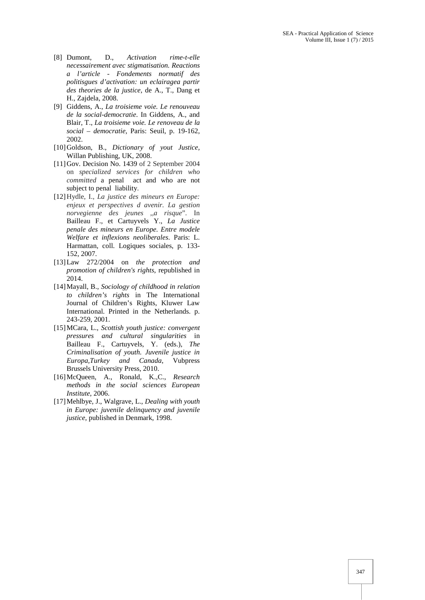- [8] Dumont, D., *Activation rime-t-elle necessairement avec stigmatisation. Reactions a l'article - Fondements normatif des politisgues d'activation: un eclairagea partir des theories de la justice*, de A., T., Dang et H., Zajdela, 2008.
- [9] Giddens, A., *La troisieme voie. Le renouveau de la social-democratie*. In Giddens, A., and Blair, T., *La troisieme voie. Le renoveau de la social – democratie*, Paris: Seuil, p. 19-162, 2002.
- [10]Goldson, B., *Dictionary of yout Justice,* Willan Publishing, UK, 2008.
- [11] Gov. Decision No. 1439 of 2 September 2004 on *specialized services for children who committed* a penal act and who are not subject to penal liability.
- [12]Hydle, I., *La justice des mineurs en Europe: enjeux et perspectives d avenir. La gestion norvegienne des jeunes ,,a risque*". In Bailleau F., et Cartuyvels Y., *La Justice penale des mineurs en Europe. Entre modele Welfare et inflexions neoliberales*. Paris: L. Harmattan, coll. Logiques sociales, p. 133- 152, 2007.
- [13]Law 272/2004 on *the protection and promotion of children's rights*, republished in 2014.
- [14]Mayall, B., *Sociology of childhood in relation to children's rights* in The International Journal of Children's Rights, Kluwer Law International. Printed in the Netherlands. p. 243-259, 2001.
- [15]MCara, L., *Scottish youth justice: convergent pressures and cultural singularities* in Bailleau F., Cartuyvels, Y. (eds.), *The Criminalisation of youth. Juvenile justice in Europa,Turkey and Canada*, Vubpress Brussels University Press, 2010.
- [16]McQueen, A., Ronald, K.,C., *Research methods in the social sciences European Institute*, 2006.
- [17]Mehlbye, J., Walgrave, L., *Dealing with youth in Europe: juvenile delinquency and juvenile justice*, published in Denmark, 1998.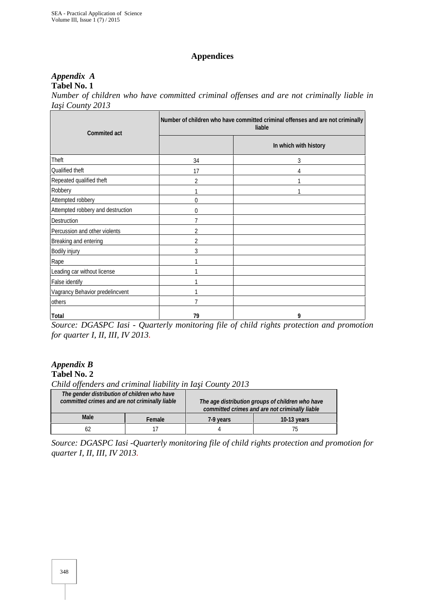### **Appendices**

### *Appendix A*

**Tabel No. 1**

*Number of children who have committed criminal offenses and are not criminally liable in* Ia *i* County 2013

| <b>Commited act</b>               | Number of children who have committed criminal offenses and are not criminally<br>liable |                       |  |
|-----------------------------------|------------------------------------------------------------------------------------------|-----------------------|--|
|                                   |                                                                                          | In which with history |  |
| Theft                             | 34                                                                                       | 3                     |  |
| Qualified theft                   | 17                                                                                       | 4                     |  |
| Repeated qualified theft          | 2                                                                                        |                       |  |
| Robbery                           | 1                                                                                        |                       |  |
| Attempted robbery                 | $\Omega$                                                                                 |                       |  |
| Attempted robbery and destruction | 0                                                                                        |                       |  |
| Destruction                       |                                                                                          |                       |  |
| Percussion and other violents     | 2                                                                                        |                       |  |
| Breaking and entering             | 2                                                                                        |                       |  |
| Bodily injury                     | 3                                                                                        |                       |  |
| Rape                              | 1                                                                                        |                       |  |
| Leading car without license       |                                                                                          |                       |  |
| False identify                    |                                                                                          |                       |  |
| Vagrancy Behavior predelincvent   | 1                                                                                        |                       |  |
| others                            | 7                                                                                        |                       |  |
| <b>Total</b>                      | 79                                                                                       | 9                     |  |

*Source: DGASPC Iasi - Quarterly monitoring file of child rights protection and promotion for quarter I, II, III, IV 2013.*

# *Appendix B*

**Tabel No. 2**

*Child offenders and criminal liability in Ia i County 2013* 

| The gender distribution of children who have<br>committed crimes and are not criminally liable |               | The age distribution groups of children who have<br>committed crimes and are not criminally liable |             |  |
|------------------------------------------------------------------------------------------------|---------------|----------------------------------------------------------------------------------------------------|-------------|--|
| <b>Male</b>                                                                                    | <b>Female</b> | 7-9 years                                                                                          | 10-13 years |  |
|                                                                                                |               |                                                                                                    | 75          |  |

*Source: DGASPC Iasi -Quarterly monitoring file of child rights protection and promotion for quarter I, II, III, IV 2013.*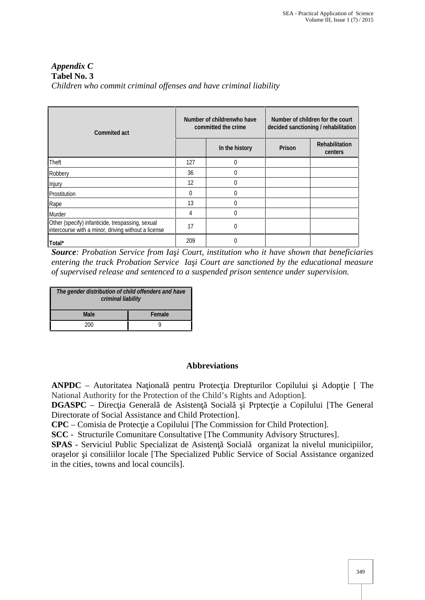*Appendix C* **Tabel No. 3**

| Children who commit criminal offenses and have criminal liability |
|-------------------------------------------------------------------|
|-------------------------------------------------------------------|

| <b>Commited act</b>                                                                                     | Number of childrenwho have<br>committed the crime |                | Number of children for the court<br>decided sanctioning / rehabilitation |                                  |
|---------------------------------------------------------------------------------------------------------|---------------------------------------------------|----------------|--------------------------------------------------------------------------|----------------------------------|
|                                                                                                         |                                                   | In the history | Prison                                                                   | <b>Rehabilitation</b><br>centers |
| Theft                                                                                                   | 127                                               | 0              |                                                                          |                                  |
| Robbery                                                                                                 | 36                                                | 0              |                                                                          |                                  |
| Injury                                                                                                  | 12                                                | 0              |                                                                          |                                  |
| Prostitution                                                                                            | 0                                                 | 0              |                                                                          |                                  |
| Rape                                                                                                    | 13                                                | 0              |                                                                          |                                  |
| Murder                                                                                                  | 4                                                 | 0              |                                                                          |                                  |
| Other (specify) infanticide, trespassing, sexual<br>intercourse with a minor, driving without a license | 17                                                | 0              |                                                                          |                                  |
| Total*                                                                                                  | 209                                               | 0              |                                                                          |                                  |

**Source**: Probation Service from Ia *i* Court, institution who it have shown that beneficiaries *entering the track Probation Service Ia i Court are sanctioned by the educational measure of supervised release and sentenced to a suspended prison sentence under supervision.*

| The gender distribution of child offenders and have<br>criminal liability |        |  |
|---------------------------------------------------------------------------|--------|--|
| <b>Male</b>                                                               | Female |  |
|                                                                           |        |  |

### **Abbreviations**

**ANPDC** – Autoritatea Na ional pentru Protec ia Drepturilor Copilului i Adop ie [The National Authority for the Protection of the Child's Rights and Adoption].

**DGASPC** – Direc ia General de Asisten Social i Prptec ie a Copilului [The General] Directorate of Social Assistance and Child Protection].

**CPC** – Comisia de Protec ie a Copilului [The Commission for Child Protection].

**SCC** - Structurile Comunitare Consultative [The Community Advisory Structures].

**SPAS** - Serviciul Public Specializat de Asisten Social organizat la nivelul municipiilor, ora elor *i* consiliilor locale [The Specialized Public Service of Social Assistance organized in the cities, towns and local councils].